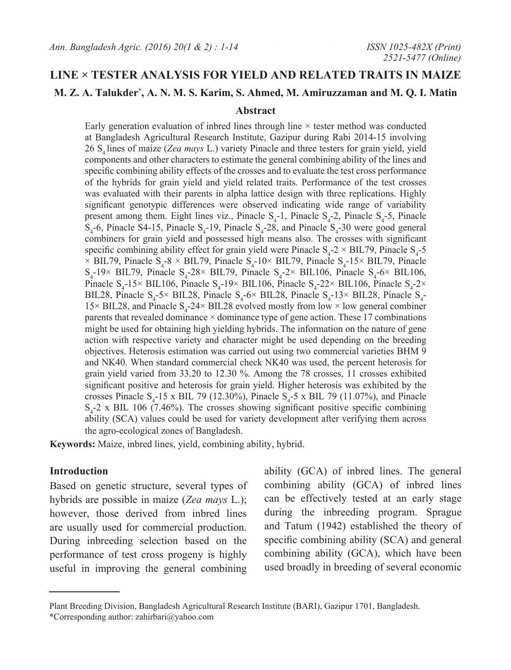## **LINE × TESTER ANALYSIS FOR YIELD AND RELATED TRAITS IN MAIZE**

## **M. Z. A. Talukder\* , A. N. M. S. Karim, S. Ahmed, M. Amiruzzaman and M. Q. I. Matin**

#### **Abstract**

Early generation evaluation of inbred lines through line  $\times$  tester method was conducted at Bangladesh Agricultural Research Institute, Gazipur during Rabi 2014-15 involving 26 S4 lines of maize (*Zea mays* L.) variety Pinacle and three testers for grain yield, yield components and other characters to estimate the general combining ability of the lines and specific combining ability effects of the crosses and to evaluate the test cross performance of the hybrids for grain yield and yield related traits. Performance of the test crosses was evaluated with their parents in alpha lattice design with three replications. Highly significant genotypic differences were observed indicating wide range of variability present among them. Eight lines viz., Pinacle  $S_4$ -1, Pinacle  $S_4$ -2, Pinacle  $S_4$ -5, Pinacle  $S_4$ -6, Pinacle S4-15, Pinacle  $S_4$ -19, Pinacle  $S_4$ -28, and Pinacle  $S_4$ -30 were good general combiners for grain yield and possessed high means also. The crosses with significant specific combining ability effect for grain yield were Pinacle  $S_4$ -2  $\times$  BIL79, Pinacle  $S_4$ -5  $\times$  BIL79, Pinacle S<sub>4</sub>-8  $\times$  BIL79, Pinacle S<sub>4</sub>-10 $\times$  BIL79, Pinacle S<sub>4</sub>-15 $\times$  BIL79, Pinacle  $S_4$ -19× BIL79, Pinacle  $S_4$ -28× BIL79, Pinacle  $S_4$ -2× BIL106, Pinacle  $S_4$ -6× BIL106, Pinacle  $S_4$ -15× BIL106, Pinacle  $S_4$ -19× BIL106, Pinacle  $S_4$ -22× BIL106, Pinacle  $S_4$ -2× BIL28, Pinacle  $S_4$ -5× BIL28, Pinacle  $S_4$ -6× BIL28, Pinacle  $S_4$ -13× BIL28, Pinacle  $S_4$ -15× BIL28, and Pinacle S<sub>4</sub>-24× BIL28 evolved mostly from low × low general combiner parents that revealed dominance  $\times$  dominance type of gene action. These 17 combinations might be used for obtaining high yielding hybrids. The information on the nature of gene action with respective variety and character might be used depending on the breeding objectives. Heterosis estimation was carried out using two commercial varieties BHM 9 and NK40. When standard commercial check NK40 was used, the percent heterosis for grain yield varied from 33.20 to 12.30 %. Among the 78 crosses, 11 crosses exhibited significant positive and heterosis for grain yield. Higher heterosis was exhibited by the crosses Pinacle  $S_4$ -15 x BIL 79 (12.30%), Pinacle  $S_4$ -5 x BIL 79 (11.07%), and Pinacle  $S_4$ -2 x BIL 106 (7.46%). The crosses showing significant positive specific combining ability (SCA) values could be used for variety development after verifying them across the agro-ecological zones of Bangladesh.

**Keywords:** Maize, inbred lines, yield, combining ability, hybrid.

### **Introduction**

Based on genetic structure, several types of hybrids are possible in maize (*Zea mays* L.); however, those derived from inbred lines are usually used for commercial production. During inbreeding selection based on the performance of test cross progeny is highly useful in improving the general combining

ability (GCA) of inbred lines. The general combining ability (GCA) of inbred lines can be effectively tested at an early stage during the inbreeding program. Sprague and Tatum (1942) established the theory of specific combining ability (SCA) and general combining ability (GCA), which have been used broadly in breeding of several economic

Plant Breeding Division, Bangladesh Agricultural Research Institute (BARI), Gazipur 1701, Bangladesh.

<sup>\*</sup>Corresponding author: zahirbari@yahoo.com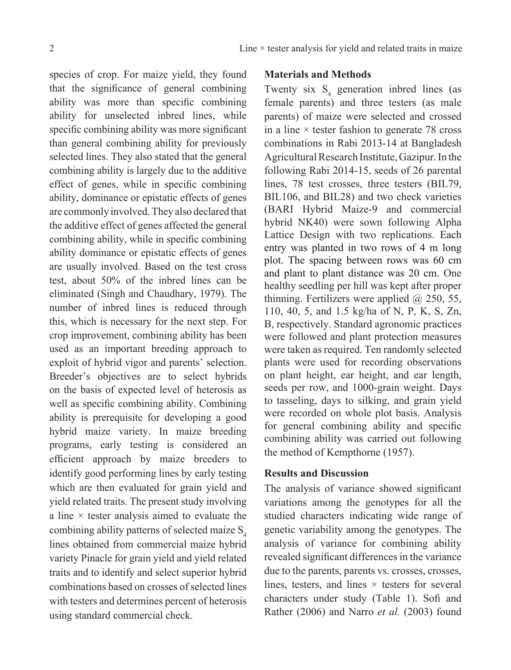species of crop. For maize yield, they found that the significance of general combining ability was more than specific combining ability for unselected inbred lines, while specific combining ability was more significant than general combining ability for previously selected lines. They also stated that the general combining ability is largely due to the additive effect of genes, while in specific combining ability, dominance or epistatic effects of genes are commonly involved. They also declared that the additive effect of genes affected the general combining ability, while in specific combining ability dominance or epistatic effects of genes are usually involved. Based on the test cross test, about 50% of the inbred lines can be eliminated (Singh and Chaudhary, 1979). The number of inbred lines is reduced through this, which is necessary for the next step. For crop improvement, combining ability has been used as an important breeding approach to exploit of hybrid vigor and parents' selection. Breeder's objectives are to select hybrids on the basis of expected level of heterosis as well as specific combining ability. Combining ability is prerequisite for developing a good hybrid maize variety. In maize breeding programs, early testing is considered an efficient approach by maize breeders to identify good performing lines by early testing which are then evaluated for grain yield and yield related traits. The present study involving a line  $\times$  tester analysis aimed to evaluate the combining ability patterns of selected maize  $S<sub>4</sub>$ lines obtained from commercial maize hybrid variety Pinacle for grain yield and yield related traits and to identify and select superior hybrid combinations based on crosses of selected lines with testers and determines percent of heterosis using standard commercial check.

## **Materials and Methods**

Twenty six  $S_4$  generation inbred lines (as female parents) and three testers (as male parents) of maize were selected and crossed in a line  $\times$  tester fashion to generate 78 cross combinations in Rabi 2013-14 at Bangladesh Agricultural Research Institute, Gazipur. In the following Rabi 2014-15, seeds of 26 parental lines, 78 test crosses, three testers (BIL79, BIL106, and BIL28) and two check varieties (BARI Hybrid Maize-9 and commercial hybrid NK40) were sown following alpha Lattice Design with two replications. Each entry was planted in two rows of 4 m long plot. The spacing between rows was 60 cm and plant to plant distance was 20 cm. One healthy seedling per hill was kept after proper thinning. Fertilizers were applied  $(a)$  250, 55, 110, 40, 5, and 1.5 kg/ha of N, P, K, S, Zn, B, respectively. Standard agronomic practices were followed and plant protection measures were taken as required. Ten randomly selected plants were used for recording observations on plant height, ear height, and ear length, seeds per row, and 1000-grain weight. Days to tasseling, days to silking, and grain yield were recorded on whole plot basis. Analysis for general combining ability and specific combining ability was carried out following the method of Kempthorne (1957).

## **Results and Discussion**

The analysis of variance showed significant variations among the genotypes for all the studied characters indicating wide range of genetic variability among the genotypes. The analysis of variance for combining ability revealed significant differences in the variance due to the parents, parents vs. crosses, crosses, lines, testers, and lines  $\times$  testers for several characters under study (Table 1). Sofi and Rather (2006) and Narro *et al.* (2003) found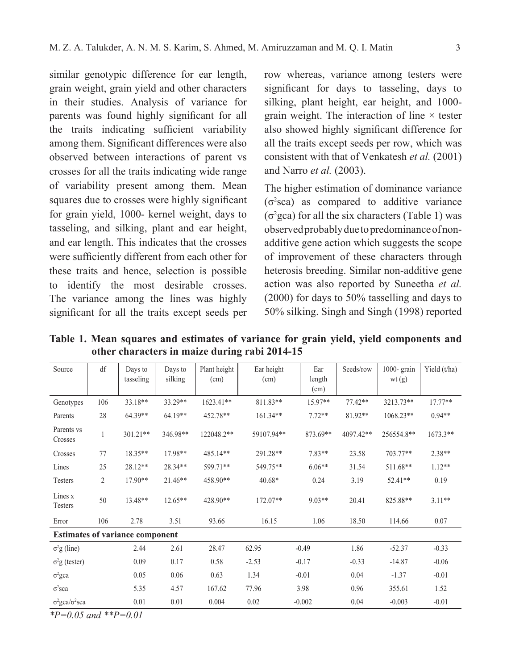similar genotypic difference for ear length, grain weight, grain yield and other characters in their studies. Analysis of variance for parents was found highly significant for all the traits indicating sufficient variability among them. Significant differences were also observed between interactions of parent vs crosses for all the traits indicating wide range of variability present among them. Mean squares due to crosses were highly significant for grain yield, 1000- kernel weight, days to tasseling, and silking, plant and ear height, and ear length. This indicates that the crosses were sufficiently different from each other for these traits and hence, selection is possible to identify the most desirable crosses. The variance among the lines was highly significant for all the traits except seeds per

row whereas, variance among testers were significant for days to tasseling, days to silking, plant height, ear height, and 1000 grain weight. The interaction of line  $\times$  tester also showed highly significant difference for all the traits except seeds per row, which was consistent with that of Venkatesh *et al.* (2001) and Narro *et al.* (2003).

The higher estimation of dominance variance  $(\sigma^2$ sca) as compared to additive variance  $(\sigma^2$ gca) for all the six characters (Table 1) was observed probably due to predominance of nonadditive gene action which suggests the scope of improvement of these characters through heterosis breeding. Similar non-additive gene action was also reported by Suneetha *et al.* (2000) for days to 50% tasselling and days to 50% silking. Singh and Singh (1998) reported

**Table 1. Mean squares and estimates of variance for grain yield, yield components and other characters in maize during rabi 2014-15**

| Source                         | df           | Days to<br>tasseling                   | Days to<br>silking | Plant height<br>(cm) | Ear height<br>(cm) | Ear<br>length<br>(cm) | Seeds/row | $1000 - \text{grain}$<br>wt(g) | Yield $(t/ha)$ |
|--------------------------------|--------------|----------------------------------------|--------------------|----------------------|--------------------|-----------------------|-----------|--------------------------------|----------------|
| Genotypes                      | 106          | 33.18**                                | 33.29**            | $1623.41**$          | $811.83**$         | 15.97**               | $77.42**$ | 3213.73**                      | $17.77**$      |
| Parents                        | 28           | 64.39**                                | 64.19**            | 452.78**             | $161.34**$         | $7.72**$              | 81.92**   | 1068.23**                      | $0.94**$       |
| Parents vs<br>Crosses          | $\mathbf{1}$ | $301.21**$                             | 346.98**           | 122048.2**           | 59107.94**         | 873.69**              | 4097.42** | 256554.8**                     | $1673.3**$     |
| Crosses                        | 77           | 18.35**                                | 17.98**            | 485.14**             | 291.28**           | $7.83**$              | 23.58     | 703.77**                       | $2.38**$       |
| Lines                          | 25           | $28.12**$                              | 28.34**            | 599.71**             | 549.75**           | $6.06**$              | 31.54     | 511.68**                       | $1.12**$       |
| Testers                        | 2            | $17.90**$                              | 21.46**            | 458.90**             | 40.68*             | 0.24                  | 3.19      | 52.41**                        | 0.19           |
| Lines x<br>Testers             | 50           | 13.48**                                | $12.65**$          | 428.90**             | $172.07**$         | $9.03**$              | 20.41     | 825.88**                       | $3.11**$       |
| Error                          | 106          | 2.78                                   | 3.51               | 93.66                | 16.15              | 1.06                  | 18.50     | 114.66                         | 0.07           |
|                                |              | <b>Estimates of variance component</b> |                    |                      |                    |                       |           |                                |                |
| $\sigma^2$ g (line)            |              | 2.44                                   | 2.61               | 28.47                | 62.95              | $-0.49$               | 1.86      | $-52.37$                       | $-0.33$        |
| $\sigma^2$ g (tester)          |              | 0.09                                   | 0.17               | 0.58                 | $-2.53$            | $-0.17$               | $-0.33$   | $-14.87$                       | $-0.06$        |
| $\sigma^2$ gca                 |              | 0.05                                   | 0.06               | 0.63                 | 1.34               | $-0.01$               | 0.04      | $-1.37$                        | $-0.01$        |
| $\sigma^2$ sca                 |              | 5.35                                   | 4.57               | 167.62               | 77.96              | 3.98                  | 0.96      | 355.61                         | 1.52           |
| $\sigma^2$ gca/ $\sigma^2$ sca |              | 0.01                                   | 0.01               | 0.004                | 0.02               | $-0.002$              | 0.04      | $-0.003$                       | $-0.01$        |

*\*P=0.05 and \*\*P=0.01*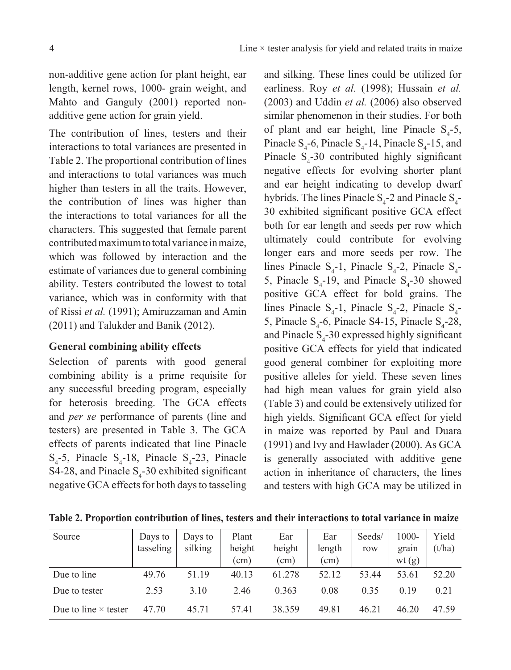non-additive gene action for plant height, ear length, kernel rows, 1000- grain weight, and Mahto and Ganguly (2001) reported nonadditive gene action for grain yield.

The contribution of lines, testers and their interactions to total variances are presented in Table 2. The proportional contribution of lines and interactions to total variances was much higher than testers in all the traits. However, the contribution of lines was higher than the interactions to total variances for all the characters. This suggested that female parent contributed maximum to total variance in maize, which was followed by interaction and the estimate of variances due to general combining ability. Testers contributed the lowest to total variance, which was in conformity with that of Rissi *et al.* (1991); Amiruzzaman and Amin (2011) and Talukder and Banik (2012).

## **General combining ability effects**

Selection of parents with good general combining ability is a prime requisite for any successful breeding program, especially for heterosis breeding. The GCA effects and *per se* performance of parents (line and testers) are presented in Table 3. The GCA effects of parents indicated that line Pinacle  $S_4$ -5, Pinacle  $S_4$ -18, Pinacle  $S_4$ -23, Pinacle S4-28, and Pinacle  $S_4$ -30 exhibited significant negative GCA effects for both days to tasseling

and silking. These lines could be utilized for earliness. Roy *et al.* (1998); Hussain *et al.* (2003) and Uddin *et al.* (2006) also observed similar phenomenon in their studies. For both of plant and ear height, line Pinacle  $S_4$ -5, Pinacle  $S_4$ -6, Pinacle  $S_4$ -14, Pinacle  $S_4$ -15, and Pinacle  $S_4$ -30 contributed highly significant negative effects for evolving shorter plant and ear height indicating to develop dwarf hybrids. The lines Pinacle  $S_4$ -2 and Pinacle  $S_4$ -30 exhibited significant positive GCA effect both for ear length and seeds per row which ultimately could contribute for evolving longer ears and more seeds per row. The lines Pinacle  $S_4$ -1, Pinacle  $S_4$ -2, Pinacle  $S_4$ -5, Pinacle  $S_4$ -19, and Pinacle  $S_4$ -30 showed positive GCA effect for bold grains. The lines Pinacle  $S_4$ -1, Pinacle  $S_4$ -2, Pinacle  $S_4$ -5, Pinacle  $S_4$ -6, Pinacle S4-15, Pinacle  $S_4$ -28, and Pinacle  $S_4$ -30 expressed highly significant positive GCA effects for yield that indicated good general combiner for exploiting more positive alleles for yield. These seven lines had high mean values for grain yield also (Table 3) and could be extensively utilized for high yields. Significant GCA effect for yield in maize was reported by Paul and Duara (1991) and Ivy and Hawlader (2000). As GCA is generally associated with additive gene action in inheritance of characters, the lines and testers with high GCA may be utilized in

| Table 2. Proportion contribution of lines, testers and their interactions to total variance in maize |  |  |  |  |
|------------------------------------------------------------------------------------------------------|--|--|--|--|
|                                                                                                      |  |  |  |  |

| Source                      | Days to<br>tasseling | Days to<br>silking | Plant<br>height | Ear<br>height | Ear<br>length | Seeds/<br>row | 1000-<br>grain | Yield<br>(t/ha) |
|-----------------------------|----------------------|--------------------|-----------------|---------------|---------------|---------------|----------------|-----------------|
|                             |                      |                    | $\text{cm}$ )   | (cm)          | (cm)          |               | wt(g)          |                 |
| Due to line                 | 49.76                | 51.19              | 40.13           | 61.278        | 52.12         | 53.44         | 53.61          | 52.20           |
| Due to tester               | 2.53                 | 3.10               | 2.46            | 0.363         | 0.08          | 0.35          | 0.19           | 0.21            |
| Due to line $\times$ tester | 47.70                | 45.71              | 57.41           | 38.359        | 49.81         | 46.21         | 46.20          | 47.59           |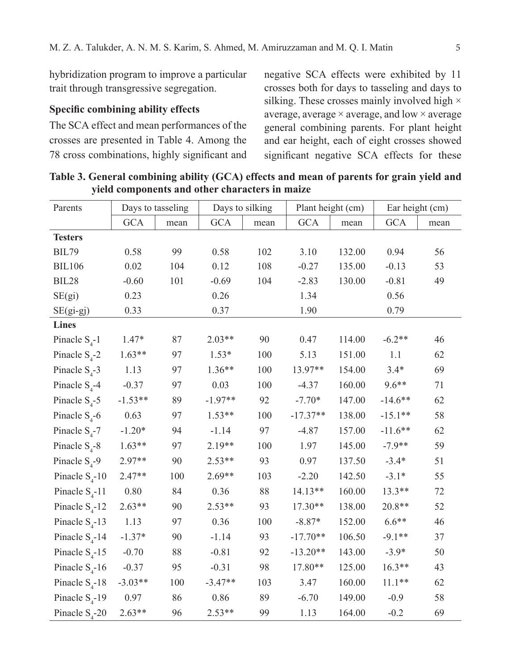hybridization program to improve a particular trait through transgressive segregation.

# **Specific combining ability effects**

The SCA effect and mean performances of the crosses are presented in Table 4. Among the 78 cross combinations, highly significant and negative SCA effects were exhibited by 11 crosses both for days to tasseling and days to silking. These crosses mainly involved high  $\times$ average, average  $\times$  average, and low  $\times$  average general combining parents. For plant height and ear height, each of eight crosses showed significant negative SCA effects for these

| Parents           | Days to tasseling |        | Days to silking |      | Plant height (cm) |        | Ear height (cm) |      |
|-------------------|-------------------|--------|-----------------|------|-------------------|--------|-----------------|------|
|                   | <b>GCA</b>        | mean   | <b>GCA</b>      | mean | <b>GCA</b>        | mean   | <b>GCA</b>      | mean |
| <b>Testers</b>    |                   |        |                 |      |                   |        |                 |      |
| <b>BIL79</b>      | 0.58              | 99     | 0.58            | 102  | 3.10              | 132.00 | 0.94            | 56   |
| <b>BIL106</b>     | 0.02              | 104    | 0.12            | 108  | $-0.27$           | 135.00 | $-0.13$         | 53   |
| BIL28             | $-0.60$           | 101    | $-0.69$         | 104  | $-2.83$           | 130.00 | $-0.81$         | 49   |
| SE(gi)            | 0.23              |        | 0.26            |      | 1.34              |        | 0.56            |      |
| $SE(gi-gj)$       | 0.33              |        | 0.37            |      | 1.90              |        | 0.79            |      |
| <b>Lines</b>      |                   |        |                 |      |                   |        |                 |      |
| Pinacle $S_4$ -1  | $1.47*$           | 87     | $2.03**$        | 90   | 0.47              | 114.00 | $-6.2**$        | 46   |
| Pinacle $S_4$ -2  | $1.63**$          | 97     | $1.53*$         | 100  | 5.13              | 151.00 | 1.1             | 62   |
| Pinacle $S_4$ -3  | 1.13              | 97     | $1.36**$        | 100  | 13.97**           | 154.00 | $3.4*$          | 69   |
| Pinacle $S_4$ -4  | $-0.37$           | 97     | 0.03            | 100  | $-4.37$           | 160.00 | $9.6**$         | 71   |
| Pinacle $S_4$ -5  | $-1.53**$         | 89     | $-1.97**$       | 92   | $-7.70*$          | 147.00 | $-14.6**$       | 62   |
| Pinacle $S_4$ -6  | 0.63              | 97     | $1.53**$        | 100  | $-17.37**$        | 138.00 | $-15.1**$       | 58   |
| Pinacle $S_4$ -7  | $-1.20*$          | 94     | $-1.14$         | 97   | $-4.87$           | 157.00 | $-11.6**$       | 62   |
| Pinacle $S_4$ -8  | $1.63**$          | 97     | $2.19**$        | 100  | 1.97              | 145.00 | $-7.9**$        | 59   |
| Pinacle $S_4$ -9  | 2.97**            | 90     | $2.53**$        | 93   | 0.97              | 137.50 | $-3.4*$         | 51   |
| Pinacle $S_4$ -10 | $2.47**$          | 100    | $2.69**$        | 103  | $-2.20$           | 142.50 | $-3.1*$         | 55   |
| Pinacle $S_4$ -11 | $0.80\,$          | 84     | 0.36            | 88   | 14.13**           | 160.00 | 13.3**          | 72   |
| Pinacle $S_4$ -12 | $2.63**$          | 90     | $2.53**$        | 93   | $17.30**$         | 138.00 | 20.8**          | 52   |
| Pinacle $S_4$ -13 | 1.13              | 97     | 0.36            | 100  | $-8.87*$          | 152.00 | $6.6**$         | 46   |
| Pinacle $S_4$ -14 | $-1.37*$          | 90     | $-1.14$         | 93   | $-17.70**$        | 106.50 | $-9.1**$        | 37   |
| Pinacle $S_4$ -15 | $-0.70$           | $88\,$ | $-0.81$         | 92   | $-13.20**$        | 143.00 | $-3.9*$         | 50   |
| Pinacle $S_4$ -16 | $-0.37$           | 95     | $-0.31$         | 98   | 17.80**           | 125.00 | $16.3**$        | 43   |
| Pinacle $S_4$ -18 | $-3.03**$         | 100    | $-3.47**$       | 103  | 3.47              | 160.00 | $11.1**$        | 62   |
| Pinacle $S_4$ -19 | 0.97              | 86     | 0.86            | 89   | $-6.70$           | 149.00 | $-0.9$          | 58   |
| Pinacle $S_4$ -20 | $2.63**$          | 96     | $2.53**$        | 99   | 1.13              | 164.00 | $-0.2$          | 69   |

Table 3. General combining ability (GCA) effects and mean of parents for grain yield and **yield components and other characters in maize**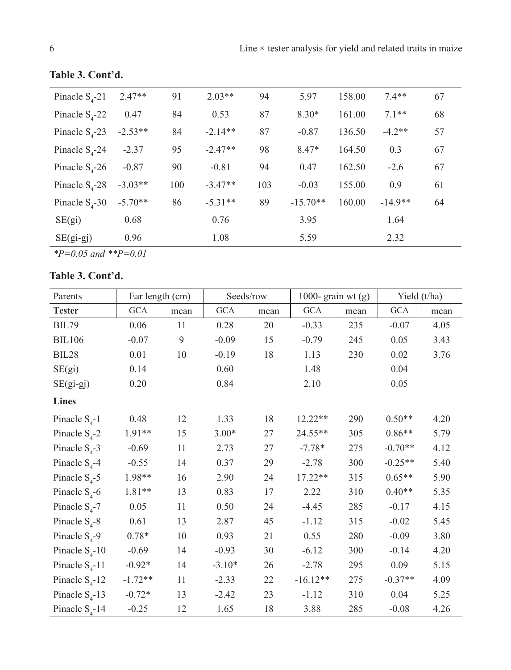| Pinacle $S_{4}$ -21 | $2.47**$  | 91  | $2.03**$  | 94  | 5.97       | 158.00 | $7.4**$   | 67 |
|---------------------|-----------|-----|-----------|-----|------------|--------|-----------|----|
| Pinacle $S_{4}$ -22 | 0.47      | 84  | 0.53      | 87  | $8.30*$    | 161.00 | $7.1**$   | 68 |
| Pinacle $S_{4}$ -23 | $-2.53**$ | 84  | $-2.14**$ | 87  | $-0.87$    | 136.50 | $-4.2**$  | 57 |
| Pinacle $S_{4}$ -24 | $-2.37$   | 95  | $-2.47**$ | 98  | $8.47*$    | 164.50 | 0.3       | 67 |
| Pinacle $S4$ -26    | $-0.87$   | 90  | $-0.81$   | 94  | 0.47       | 162.50 | $-2.6$    | 67 |
| Pinacle $S4$ -28    | $-3.03**$ | 100 | $-3.47**$ | 103 | $-0.03$    | 155.00 | 0.9       | 61 |
| Pinacle $S4$ -30    | $-5.70**$ | 86  | $-5.31**$ | 89  | $-15.70**$ | 160.00 | $-14.9**$ | 64 |
| SE(gi)              | 0.68      |     | 0.76      |     | 3.95       |        | 1.64      |    |
| $SE(gi-gj)$         | 0.96      |     | 1.08      |     | 5.59       |        | 2.32      |    |
|                     |           |     |           |     |            |        |           |    |

# **Table 3. Cont'd.**

*\*P=0.05 and \*\*P=0.01*

# **Table 3. Cont'd.**

| Parents             | Ear length (cm) |        |            | Seeds/row | 1000- grain wt $(g)$ |      | Yield $(t/ha)$ |      |
|---------------------|-----------------|--------|------------|-----------|----------------------|------|----------------|------|
| <b>Tester</b>       | <b>GCA</b>      | mean   | <b>GCA</b> | mean      | $GCA$                | mean | GCA            | mean |
| <b>BIL79</b>        | 0.06            | 11     | 0.28       | 20        | $-0.33$              | 235  | $-0.07$        | 4.05 |
| <b>BIL106</b>       | $-0.07$         | 9      | $-0.09$    | 15        | $-0.79$              | 245  | 0.05           | 3.43 |
| BIL28               | 0.01            | $10\,$ | $-0.19$    | $18\,$    | 1.13                 | 230  | 0.02           | 3.76 |
| SE(gi)              | 0.14            |        | 0.60       |           | 1.48                 |      | 0.04           |      |
| $SE(gi-gj)$         | 0.20            |        | 0.84       |           | 2.10                 |      | 0.05           |      |
| <b>Lines</b>        |                 |        |            |           |                      |      |                |      |
| Pinacle $S_4$ -1    | 0.48            | 12     | 1.33       | 18        | 12.22**              | 290  | $0.50**$       | 4.20 |
| Pinacle $S_4$ -2    | 1.91**          | 15     | $3.00*$    | 27        | 24.55**              | 305  | $0.86**$       | 5.79 |
| Pinacle $S_4$ -3    | $-0.69$         | 11     | 2.73       | 27        | $-7.78*$             | 275  | $-0.70**$      | 4.12 |
| Pinacle $S_4$ -4    | $-0.55$         | 14     | 0.37       | 29        | $-2.78$              | 300  | $-0.25**$      | 5.40 |
| Pinacle $S_4$ -5    | 1.98**          | 16     | 2.90       | 24        | $17.22**$            | 315  | $0.65**$       | 5.90 |
| Pinacle $S_4$ -6    | $1.81**$        | 13     | 0.83       | 17        | 2.22                 | 310  | $0.40**$       | 5.35 |
| Pinacle $S_4$ -7    | 0.05            | 11     | $0.50\,$   | 24        | $-4.45$              | 285  | $-0.17$        | 4.15 |
| Pinacle $S_4$ -8    | 0.61            | 13     | 2.87       | 45        | $-1.12$              | 315  | $-0.02$        | 5.45 |
| Pinacle $S_4$ -9    | $0.78*$         | 10     | 0.93       | 21        | 0.55                 | 280  | $-0.09$        | 3.80 |
| Pinacle $S_4$ -10   | $-0.69$         | 14     | $-0.93$    | 30        | $-6.12$              | 300  | $-0.14$        | 4.20 |
| Pinacle $S_4$ -11   | $-0.92*$        | 14     | $-3.10*$   | 26        | $-2.78$              | 295  | 0.09           | 5.15 |
| Pinacle $S_{4}$ -12 | $-1.72**$       | 11     | $-2.33$    | 22        | $-16.12**$           | 275  | $-0.37**$      | 4.09 |
| Pinacle $S_{4}$ -13 | $-0.72*$        | 13     | $-2.42$    | 23        | $-1.12$              | 310  | 0.04           | 5.25 |
| Pinacle $S_{4}$ -14 | $-0.25$         | 12     | 1.65       | 18        | 3.88                 | 285  | $-0.08$        | 4.26 |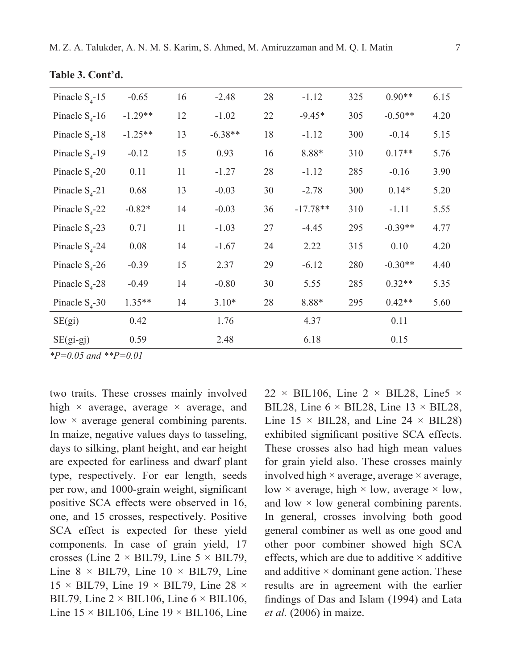| Pinacle $S_4$ -15   | $-0.65$   | 16 | $-2.48$   | 28 | $-1.12$    | 325 | $0.90**$  | 6.15 |  |
|---------------------|-----------|----|-----------|----|------------|-----|-----------|------|--|
| Pinacle $S_{4}$ -16 | $-1.29**$ | 12 | $-1.02$   | 22 | $-9.45*$   | 305 | $-0.50**$ | 4.20 |  |
| Pinacle $S_{4}$ -18 | $-1.25**$ | 13 | $-6.38**$ | 18 | $-1.12$    | 300 | $-0.14$   | 5.15 |  |
| Pinacle $S_{4}$ -19 | $-0.12$   | 15 | 0.93      | 16 | 8.88*      | 310 | $0.17**$  | 5.76 |  |
| Pinacle $S_4$ -20   | 0.11      | 11 | $-1.27$   | 28 | $-1.12$    | 285 | $-0.16$   | 3.90 |  |
| Pinacle $S_{4}$ -21 | 0.68      | 13 | $-0.03$   | 30 | $-2.78$    | 300 | $0.14*$   | 5.20 |  |
| Pinacle $S_{4}$ -22 | $-0.82*$  | 14 | $-0.03$   | 36 | $-17.78**$ | 310 | $-1.11$   | 5.55 |  |
| Pinacle $S_{4}$ -23 | 0.71      | 11 | $-1.03$   | 27 | $-4.45$    | 295 | $-0.39**$ | 4.77 |  |
| Pinacle $S_4$ -24   | 0.08      | 14 | $-1.67$   | 24 | 2.22       | 315 | 0.10      | 4.20 |  |
| Pinacle $S_{4}$ -26 | $-0.39$   | 15 | 2.37      | 29 | $-6.12$    | 280 | $-0.30**$ | 4.40 |  |
| Pinacle $S_4$ -28   | $-0.49$   | 14 | $-0.80$   | 30 | 5.55       | 285 | $0.32**$  | 5.35 |  |
| Pinacle $S_4$ -30   | $1.35**$  | 14 | $3.10*$   | 28 | $8.88*$    | 295 | $0.42**$  | 5.60 |  |
| SE(gi)              | 0.42      |    | 1.76      |    | 4.37       |     | 0.11      |      |  |
| $SE(gi-gj)$         | 0.59      |    | 2.48      |    | 6.18       |     | 0.15      |      |  |
|                     |           |    |           |    |            |     |           |      |  |

**Table 3. Cont'd.**

*\*P=0.05 and \*\*P=0.01*

two traits. These crosses mainly involved high  $\times$  average, average  $\times$  average, and low × average general combining parents. In maize, negative values days to tasseling, days to silking, plant height, and ear height are expected for earliness and dwarf plant type, respectively. For ear length, seeds per row, and 1000-grain weight, significant positive SCA effects were observed in 16, one, and 15 crosses, respectively. Positive SCA effect is expected for these yield components. In case of grain yield, 17 crosses (Line  $2 \times$  BIL79, Line  $5 \times$  BIL79, Line  $8 \times$  BIL79, Line  $10 \times$  BIL79, Line  $15 \times$  BIL79, Line  $19 \times$  BIL79, Line 28  $\times$ BIL79, Line  $2 \times$  BIL106, Line  $6 \times$  BIL106, Line  $15 \times$  BIL106, Line  $19 \times$  BIL106, Line

22  $\times$  BIL106, Line 2  $\times$  BIL28, Line5  $\times$ BIL28, Line  $6 \times$  BIL28, Line  $13 \times$  BIL28, Line  $15 \times$  BIL28, and Line  $24 \times$  BIL28) exhibited significant positive SCA effects. These crosses also had high mean values for grain yield also. These crosses mainly involved high  $\times$  average, average  $\times$  average, low  $\times$  average, high  $\times$  low, average  $\times$  low, and low  $\times$  low general combining parents. In general, crosses involving both good general combiner as well as one good and other poor combiner showed high SCA effects, which are due to additive  $\times$  additive and additive  $\times$  dominant gene action. These results are in agreement with the earlier findings of Das and Islam (1994) and Lata *et al.* (2006) in maize.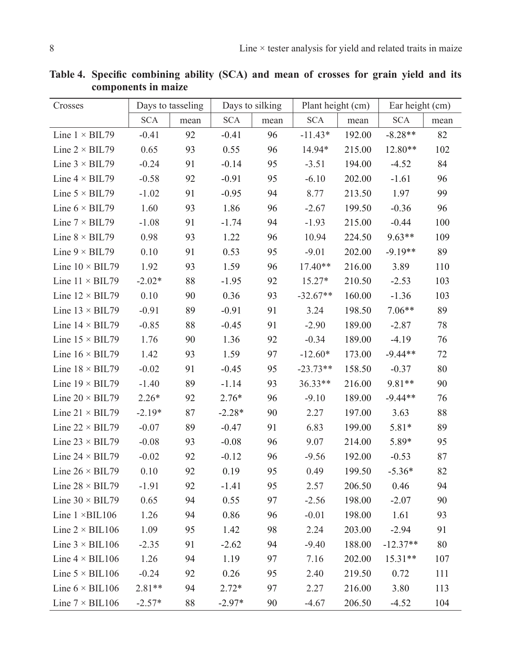| Crosses                |            | Days to tasseling |            | Days to silking | Plant height (cm) |        | Ear height (cm) |        |
|------------------------|------------|-------------------|------------|-----------------|-------------------|--------|-----------------|--------|
|                        | <b>SCA</b> | mean              | <b>SCA</b> | mean            | <b>SCA</b>        | mean   | <b>SCA</b>      | mean   |
| Line $1 \times BIL79$  | $-0.41$    | 92                | $-0.41$    | 96              | $-11.43*$         | 192.00 | $-8.28**$       | 82     |
| Line $2 \times$ BIL79  | 0.65       | 93                | 0.55       | 96              | 14.94*            | 215.00 | 12.80**         | 102    |
| Line $3 \times$ BIL79  | $-0.24$    | 91                | $-0.14$    | 95              | $-3.51$           | 194.00 | $-4.52$         | 84     |
| Line $4 \times$ BIL79  | $-0.58$    | 92                | $-0.91$    | 95              | $-6.10$           | 202.00 | $-1.61$         | 96     |
| Line $5 \times$ BIL79  | $-1.02$    | 91                | $-0.95$    | 94              | 8.77              | 213.50 | 1.97            | 99     |
| Line $6 \times$ BIL79  | 1.60       | 93                | 1.86       | 96              | $-2.67$           | 199.50 | $-0.36$         | 96     |
| Line $7 \times$ BIL79  | $-1.08$    | 91                | $-1.74$    | 94              | $-1.93$           | 215.00 | $-0.44$         | 100    |
| Line $8 \times$ BIL79  | 0.98       | 93                | 1.22       | 96              | 10.94             | 224.50 | $9.63**$        | 109    |
| Line $9 \times$ BIL79  | 0.10       | 91                | 0.53       | 95              | $-9.01$           | 202.00 | $-9.19**$       | 89     |
| Line $10 \times BIL79$ | 1.92       | 93                | 1.59       | 96              | 17.40**           | 216.00 | 3.89            | 110    |
| Line $11 \times BIL79$ | $-2.02*$   | 88                | $-1.95$    | 92              | $15.27*$          | 210.50 | $-2.53$         | 103    |
| Line $12 \times BIL79$ | 0.10       | 90                | 0.36       | 93              | $-32.67**$        | 160.00 | $-1.36$         | 103    |
| Line $13 \times BIL79$ | $-0.91$    | 89                | $-0.91$    | 91              | 3.24              | 198.50 | $7.06**$        | 89     |
| Line $14 \times BIL79$ | $-0.85$    | 88                | $-0.45$    | 91              | $-2.90$           | 189.00 | $-2.87$         | 78     |
| Line $15 \times BIL79$ | 1.76       | 90                | 1.36       | 92              | $-0.34$           | 189.00 | $-4.19$         | 76     |
| Line $16 \times BIL79$ | 1.42       | 93                | 1.59       | 97              | $-12.60*$         | 173.00 | $-9.44**$       | $72\,$ |
| Line $18 \times$ BIL79 | $-0.02$    | 91                | $-0.45$    | 95              | $-23.73**$        | 158.50 | $-0.37$         | $80\,$ |
| Line $19 \times BIL79$ | $-1.40$    | 89                | $-1.14$    | 93              | 36.33**           | 216.00 | 9.81**          | 90     |
| Line $20 \times BIL79$ | $2.26*$    | 92                | $2.76*$    | 96              | $-9.10$           | 189.00 | $-9.44**$       | 76     |
| Line $21 \times BIL79$ | $-2.19*$   | 87                | $-2.28*$   | 90              | 2.27              | 197.00 | 3.63            | 88     |
| Line $22 \times BIL79$ | $-0.07$    | 89                | $-0.47$    | 91              | 6.83              | 199.00 | $5.81*$         | 89     |
| Line $23 \times BIL79$ | $-0.08$    | 93                | $-0.08$    | 96              | 9.07              | 214.00 | 5.89*           | 95     |
| Line $24 \times BIL79$ | $-0.02$    | 92                | $-0.12$    | 96              | $-9.56$           | 192.00 | $-0.53$         | 87     |
| Line $26 \times BIL79$ | 0.10       | 92                | 0.19       | 95              | 0.49              | 199.50 | $-5.36*$        | 82     |
| Line $28 \times$ BIL79 | $-1.91$    | 92                | $-1.41$    | 95              | 2.57              | 206.50 | 0.46            | 94     |
| Line $30 \times BIL79$ | 0.65       | 94                | 0.55       | 97              | $-2.56$           | 198.00 | $-2.07$         | 90     |
| Line $1 \times BIL106$ | 1.26       | 94                | 0.86       | 96              | $-0.01$           | 198.00 | $1.61\,$        | 93     |
| Line $2 \times$ BIL106 | 1.09       | 95                | 1.42       | 98              | 2.24              | 203.00 | $-2.94$         | 91     |
| Line $3 \times$ BIL106 | $-2.35$    | 91                | $-2.62$    | 94              | $-9.40$           | 188.00 | $-12.37**$      | $80\,$ |
| Line $4 \times$ BIL106 | 1.26       | 94                | 1.19       | 97              | 7.16              | 202.00 | $15.31**$       | 107    |
| Line $5 \times$ BIL106 | $-0.24$    | 92                | 0.26       | 95              | 2.40              | 219.50 | 0.72            | 111    |
| Line $6 \times BIL106$ | $2.81**$   | 94                | $2.72*$    | 97              | 2.27              | 216.00 | 3.80            | 113    |
| Line $7 \times$ BIL106 | $-2.57*$   | 88                | $-2.97*$   | 90              | $-4.67$           | 206.50 | $-4.52$         | 104    |

**Table 4. Specific combining ability (SCA) and mean of crosses for grain yield and its components in maize**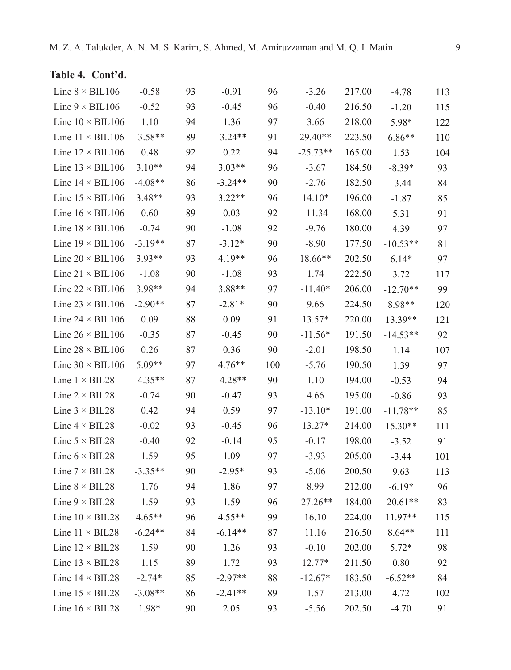|  |  |  | Table 4. Cont'd. |  |
|--|--|--|------------------|--|
|--|--|--|------------------|--|

| Line $8 \times$ BIL106        | $-0.58$   | 93 | $-0.91$   | 96  | $-3.26$    | 217.00 | $-4.78$        | 113 |
|-------------------------------|-----------|----|-----------|-----|------------|--------|----------------|-----|
| Line $9 \times$ BIL106        | $-0.52$   | 93 | $-0.45$   | 96  | $-0.40$    | 216.50 | $-1.20$        | 115 |
| Line $10 \times BIL106$       | 1.10      | 94 | 1.36      | 97  | 3.66       | 218.00 | 5.98*          | 122 |
| Line $11 \times BIL106$       | $-3.58**$ | 89 | $-3.24**$ | 91  | 29.40**    | 223.50 | $6.86**$       | 110 |
| Line $12 \times BIL106$       | 0.48      | 92 | 0.22      | 94  | $-25.73**$ | 165.00 | 1.53           | 104 |
| Line $13 \times BIL106$       | $3.10**$  | 94 | $3.03**$  | 96  | $-3.67$    | 184.50 | $-8.39*$       | 93  |
| Line $14 \times BIL106$       | $-4.08**$ | 86 | $-3.24**$ | 90  | $-2.76$    | 182.50 | $-3.44$        | 84  |
| Line $15 \times$ BIL106       | $3.48**$  | 93 | $3.22**$  | 96  | $14.10*$   | 196.00 | $-1.87$        | 85  |
| Line $16 \times$ BIL106       | 0.60      | 89 | 0.03      | 92  | $-11.34$   | 168.00 | 5.31           | 91  |
| Line $18 \times$ BIL106       | $-0.74$   | 90 | $-1.08$   | 92  | $-9.76$    | 180.00 | 4.39           | 97  |
| Line $19 \times$ BIL106       | $-3.19**$ | 87 | $-3.12*$  | 90  | $-8.90$    | 177.50 | $-10.53**$     | 81  |
| Line $20 \times$ BIL106       | $3.93**$  | 93 | 4.19**    | 96  | 18.66**    | 202.50 | $6.14*$        | 97  |
| Line $21 \times BIL106$       | $-1.08$   | 90 | $-1.08$   | 93  | 1.74       | 222.50 | 3.72           | 117 |
| Line $22 \times BIL106$       | 3.98**    | 94 | 3.88**    | 97  | $-11.40*$  | 206.00 | $-12.70**$     | 99  |
| Line $23 \times$ BIL106       | $-2.90**$ | 87 | $-2.81*$  | 90  | 9.66       | 224.50 | 8.98**         | 120 |
| Line $24 \times$ BIL106       | 0.09      | 88 | 0.09      | 91  | 13.57*     | 220.00 | 13.39**        | 121 |
| Line $26 \times$ BIL106       | $-0.35$   | 87 | $-0.45$   | 90  | $-11.56*$  | 191.50 | $-14.53**$     | 92  |
| Line $28 \times$ BIL106       | 0.26      | 87 | 0.36      | 90  | $-2.01$    | 198.50 | 1.14           | 107 |
| Line $30 \times BIL106$       | 5.09**    | 97 | $4.76**$  | 100 | $-5.76$    | 190.50 | 1.39           | 97  |
| Line $1 \times BIL28$         | $-4.35**$ | 87 | $-4.28**$ | 90  | 1.10       | 194.00 | $-0.53$        | 94  |
| Line $2 \times BIL28$         | $-0.74$   | 90 | $-0.47$   | 93  | 4.66       | 195.00 | $-0.86$        | 93  |
| Line $3 \times BIL28$         | 0.42      | 94 | 0.59      | 97  | $-13.10*$  | 191.00 | $-11.78**$     | 85  |
| Line $4 \times BIL28$         | $-0.02$   | 93 | $-0.45$   | 96  | 13.27*     | 214.00 | 15.30**        | 111 |
| Line $5 \times BIL28$         | $-0.40$   | 92 | $-0.14$   | 95  | $-0.17$    | 198.00 | $-3.52$        | 91  |
| Line $6 \times BIL28$         | 1.59      | 95 | 1.09      | 97  | $-3.93$    | 205.00 | $-3.44$        | 101 |
| Line $7 \times$ BIL28         | $-3.35**$ | 90 | $-2.95*$  | 93  | $-5.06$    | 200.50 | 9.63           | 113 |
| Line $8 \times BIL28$         | 1.76      | 94 | 1.86      | 97  | 8.99       | 212.00 | $-6.19*$       | 96  |
| Line $9 \times BIL28$         | 1.59      | 93 | 1.59      | 96  | $-27.26**$ | 184.00 | $-20.61**$     | 83  |
| Line $10 \times BIL28$ 4.65** |           | 96 | $4.55**$  | 99  | 16.10      |        | 224.00 11.97** | 115 |
| Line $11 \times BIL28$        | $-6.24**$ | 84 | $-6.14**$ | 87  | 11.16      | 216.50 | $8.64**$       | 111 |
| Line $12 \times BIL28$        | 1.59      | 90 | 1.26      | 93  | $-0.10$    | 202.00 | $5.72*$        | 98  |
| Line $13 \times BIL28$        | 1.15      | 89 | 1.72      | 93  | 12.77*     | 211.50 | 0.80           | 92  |
| Line $14 \times BIL28$        | $-2.74*$  | 85 | $-2.97**$ | 88  | $-12.67*$  | 183.50 | $-6.52**$      | 84  |
| Line $15 \times BIL28$        | $-3.08**$ | 86 | $-2.41**$ | 89  | 1.57       | 213.00 | 4.72           | 102 |
| Line $16 \times BIL28$        | 1.98*     | 90 | 2.05      | 93  | $-5.56$    | 202.50 | $-4.70$        | 91  |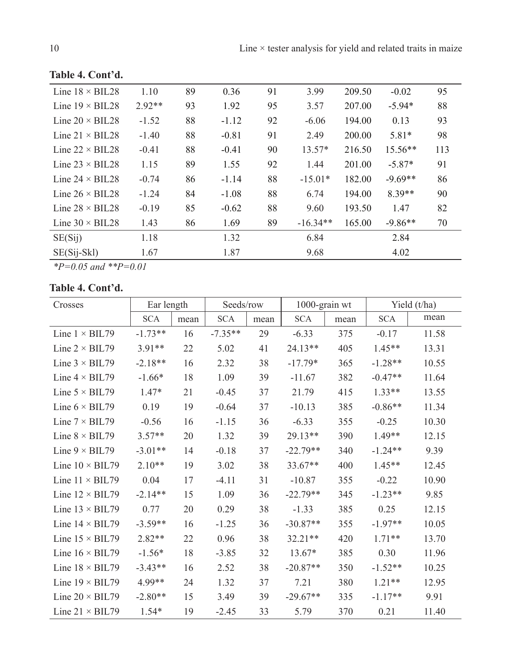| Line $18 \times$ BIL28 | 1.10     | 89 | 0.36    | 91 | 3.99       | 209.50 | $-0.02$   | 95  |
|------------------------|----------|----|---------|----|------------|--------|-----------|-----|
| Line $19 \times$ BIL28 | $2.92**$ | 93 | 1.92    | 95 | 3.57       | 207.00 | $-5.94*$  | 88  |
| Line $20 \times$ BIL28 | $-1.52$  | 88 | $-1.12$ | 92 | $-6.06$    | 194.00 | 0.13      | 93  |
| Line $21 \times$ BIL28 | $-1.40$  | 88 | $-0.81$ | 91 | 2.49       | 200.00 | $5.81*$   | 98  |
| Line $22 \times$ BIL28 | $-0.41$  | 88 | $-0.41$ | 90 | $13.57*$   | 216.50 | $15.56**$ | 113 |
| Line $23 \times$ BIL28 | 1.15     | 89 | 1.55    | 92 | 1.44       | 201.00 | $-5.87*$  | 91  |
| Line $24 \times$ BIL28 | $-0.74$  | 86 | $-1.14$ | 88 | $-15.01*$  | 182.00 | $-9.69**$ | 86  |
| Line $26 \times$ BIL28 | $-1.24$  | 84 | $-1.08$ | 88 | 6.74       | 194.00 | $8.39**$  | 90  |
| Line $28 \times$ BIL28 | $-0.19$  | 85 | $-0.62$ | 88 | 9.60       | 193.50 | 1.47      | 82  |
| Line $30 \times$ BIL28 | 1.43     | 86 | 1.69    | 89 | $-16.34**$ | 165.00 | $-9.86**$ | 70  |
| SE(Sij)                | 1.18     |    | 1.32    |    | 6.84       |        | 2.84      |     |
| $SE(Sij-Skl)$          | 1.67     |    | 1.87    |    | 9.68       |        | 4.02      |     |

**Table 4. Cont'd.**

*\*P=0.05 and \*\*P=0.01*

# **Table 4. Cont'd.**

| Crosses                | Ear length |      | Seeds/row  |      | $1000$ -grain wt |      |            | Yield (t/ha) |
|------------------------|------------|------|------------|------|------------------|------|------------|--------------|
|                        | <b>SCA</b> | mean | <b>SCA</b> | mean | <b>SCA</b>       | mean | <b>SCA</b> | mean         |
| Line $1 \times BIL79$  | $-1.73**$  | 16   | $-7.35**$  | 29   | $-6.33$          | 375  | $-0.17$    | 11.58        |
| Line $2 \times BIL79$  | $3.91**$   | 22   | 5.02       | 41   | $24.13**$        | 405  | $1.45**$   | 13.31        |
| Line $3 \times$ BIL79  | $-2.18**$  | 16   | 2.32       | 38   | $-17.79*$        | 365  | $-1.28**$  | 10.55        |
| Line $4 \times BIL79$  | $-1.66*$   | 18   | 1.09       | 39   | $-11.67$         | 382  | $-0.47**$  | 11.64        |
| Line $5 \times$ BIL79  | $1.47*$    | 21   | $-0.45$    | 37   | 21.79            | 415  | $1.33**$   | 13.55        |
| Line $6 \times$ BIL79  | 0.19       | 19   | $-0.64$    | 37   | $-10.13$         | 385  | $-0.86**$  | 11.34        |
| Line $7 \times$ BIL79  | $-0.56$    | 16   | $-1.15$    | 36   | $-6.33$          | 355  | $-0.25$    | 10.30        |
| Line $8 \times$ BIL79  | $3.57**$   | 20   | 1.32       | 39   | $29.13**$        | 390  | $1.49**$   | 12.15        |
| Line $9 \times$ BIL79  | $-3.01**$  | 14   | $-0.18$    | 37   | $-22.79**$       | 340  | $-1.24**$  | 9.39         |
| Line $10 \times BIL79$ | $2.10**$   | 19   | 3.02       | 38   | $33.67**$        | 400  | $1.45**$   | 12.45        |
| Line $11 \times BIL79$ | 0.04       | 17   | $-4.11$    | 31   | $-10.87$         | 355  | $-0.22$    | 10.90        |
| Line $12 \times BIL79$ | $-2.14**$  | 15   | 1.09       | 36   | $-22.79**$       | 345  | $-1.23**$  | 9.85         |
| Line $13 \times BIL79$ | 0.77       | 20   | 0.29       | 38   | $-1.33$          | 385  | 0.25       | 12.15        |
| Line $14 \times BIL79$ | $-3.59**$  | 16   | $-1.25$    | 36   | $-30.87**$       | 355  | $-1.97**$  | 10.05        |
| Line $15 \times BIL79$ | $2.82**$   | 22   | 0.96       | 38   | $32.21**$        | 420  | $1.71**$   | 13.70        |
| Line $16 \times BIL79$ | $-1.56*$   | 18   | $-3.85$    | 32   | $13.67*$         | 385  | 0.30       | 11.96        |
| Line $18 \times$ BIL79 | $-3.43**$  | 16   | 2.52       | 38   | $-20.87**$       | 350  | $-1.52**$  | 10.25        |
| Line $19 \times BIL79$ | $4.99**$   | 24   | 1.32       | 37   | 7.21             | 380  | $1.21**$   | 12.95        |
| Line $20 \times BIL79$ | $-2.80**$  | 15   | 3.49       | 39   | $-29.67**$       | 335  | $-1.17**$  | 9.91         |
| Line $21 \times BIL79$ | $1.54*$    | 19   | $-2.45$    | 33   | 5.79             | 370  | 0.21       | 11.40        |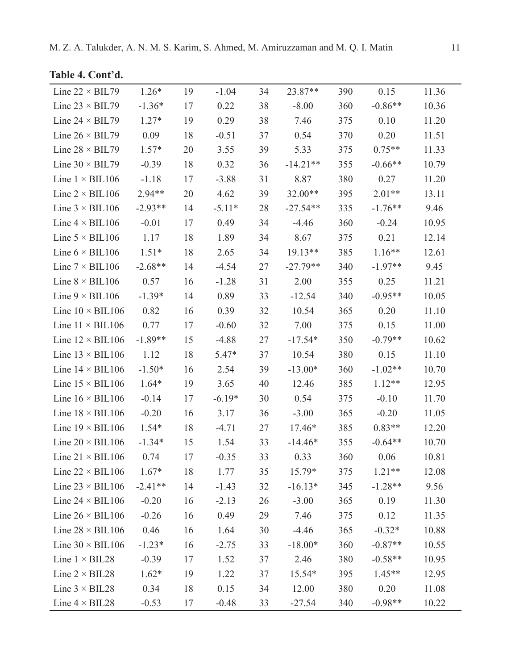|  | Table 4. Cont'd. |  |  |  |
|--|------------------|--|--|--|
|--|------------------|--|--|--|

| Line $22 \times BIL79$  | $1.26*$   | 19 | $-1.04$  | 34 | 23.87**    | 390 | 0.15      | 11.36 |
|-------------------------|-----------|----|----------|----|------------|-----|-----------|-------|
| Line $23 \times BIL79$  | $-1.36*$  | 17 | 0.22     | 38 | $-8.00$    | 360 | $-0.86**$ | 10.36 |
| Line $24 \times BIL79$  | $1.27*$   | 19 | 0.29     | 38 | 7.46       | 375 | 0.10      | 11.20 |
| Line $26 \times BIL79$  | 0.09      | 18 | $-0.51$  | 37 | 0.54       | 370 | 0.20      | 11.51 |
| Line $28 \times$ BIL79  | $1.57*$   | 20 | 3.55     | 39 | 5.33       | 375 | $0.75**$  | 11.33 |
| Line $30 \times BIL79$  | $-0.39$   | 18 | 0.32     | 36 | $-14.21**$ | 355 | $-0.66**$ | 10.79 |
| Line $1 \times BIL106$  | $-1.18$   | 17 | $-3.88$  | 31 | 8.87       | 380 | 0.27      | 11.20 |
| Line $2 \times$ BIL106  | $2.94**$  | 20 | 4.62     | 39 | 32.00**    | 395 | $2.01**$  | 13.11 |
| Line $3 \times$ BIL106  | $-2.93**$ | 14 | $-5.11*$ | 28 | $-27.54**$ | 335 | $-1.76**$ | 9.46  |
| Line $4 \times$ BIL106  | $-0.01$   | 17 | 0.49     | 34 | $-4.46$    | 360 | $-0.24$   | 10.95 |
| Line $5 \times$ BIL106  | 1.17      | 18 | 1.89     | 34 | 8.67       | 375 | 0.21      | 12.14 |
| Line $6 \times$ BIL106  | $1.51*$   | 18 | 2.65     | 34 | 19.13**    | 385 | $1.16**$  | 12.61 |
| Line $7 \times$ BIL106  | $-2.68**$ | 14 | $-4.54$  | 27 | $-27.79**$ | 340 | $-1.97**$ | 9.45  |
| Line $8 \times$ BIL106  | 0.57      | 16 | $-1.28$  | 31 | 2.00       | 355 | 0.25      | 11.21 |
| Line $9 \times$ BIL106  | $-1.39*$  | 14 | 0.89     | 33 | $-12.54$   | 340 | $-0.95**$ | 10.05 |
| Line $10 \times BIL106$ | 0.82      | 16 | 0.39     | 32 | 10.54      | 365 | 0.20      | 11.10 |
| Line $11 \times BIL106$ | 0.77      | 17 | $-0.60$  | 32 | 7.00       | 375 | 0.15      | 11.00 |
| Line $12 \times BIL106$ | $-1.89**$ | 15 | $-4.88$  | 27 | $-17.54*$  | 350 | $-0.79**$ | 10.62 |
| Line $13 \times BIL106$ | 1.12      | 18 | $5.47*$  | 37 | 10.54      | 380 | 0.15      | 11.10 |
| Line $14 \times BIL106$ | $-1.50*$  | 16 | 2.54     | 39 | $-13.00*$  | 360 | $-1.02**$ | 10.70 |
| Line $15 \times$ BIL106 | $1.64*$   | 19 | 3.65     | 40 | 12.46      | 385 | $1.12**$  | 12.95 |
| Line $16 \times$ BIL106 | $-0.14$   | 17 | $-6.19*$ | 30 | 0.54       | 375 | $-0.10$   | 11.70 |
| Line $18 \times$ BIL106 | $-0.20$   | 16 | 3.17     | 36 | $-3.00$    | 365 | $-0.20$   | 11.05 |
| Line $19 \times BIL106$ | $1.54*$   | 18 | $-4.71$  | 27 | 17.46*     | 385 | $0.83**$  | 12.20 |
| Line $20 \times$ BIL106 | $-1.34*$  | 15 | 1.54     | 33 | $-14.46*$  | 355 | $-0.64**$ | 10.70 |
| Line $21 \times BIL106$ | 0.74      | 17 | $-0.35$  | 33 | 0.33       | 360 | 0.06      | 10.81 |
| Line $22 \times$ BIL106 | $1.67*$   | 18 | 1.77     | 35 | $15.79*$   | 375 | $1.21**$  | 12.08 |
| Line $23 \times$ BIL106 | $-2.41**$ | 14 | $-1.43$  | 32 | $-16.13*$  | 345 | $-1.28**$ | 9.56  |
| Line $24 \times$ BIL106 | $-0.20$   | 16 | $-2.13$  | 26 | $-3.00$    | 365 | 0.19      | 11.30 |
| Line $26 \times$ BIL106 | $-0.26$   | 16 | 0.49     | 29 | 7.46       | 375 | 0.12      | 11.35 |
| Line $28 \times$ BIL106 | 0.46      | 16 | 1.64     | 30 | $-4.46$    | 365 | $-0.32*$  | 10.88 |
| Line $30 \times$ BIL106 | $-1.23*$  | 16 | $-2.75$  | 33 | $-18.00*$  | 360 | $-0.87**$ | 10.55 |
| Line $1 \times BIL28$   | $-0.39$   | 17 | 1.52     | 37 | 2.46       | 380 | $-0.58**$ | 10.95 |
| Line $2 \times BIL28$   | $1.62*$   | 19 | 1.22     | 37 | 15.54*     | 395 | $1.45**$  | 12.95 |
| Line $3 \times BIL28$   | 0.34      | 18 | 0.15     | 34 | 12.00      | 380 | 0.20      | 11.08 |
| Line $4 \times BIL28$   | $-0.53$   | 17 | $-0.48$  | 33 | $-27.54$   | 340 | $-0.98**$ | 10.22 |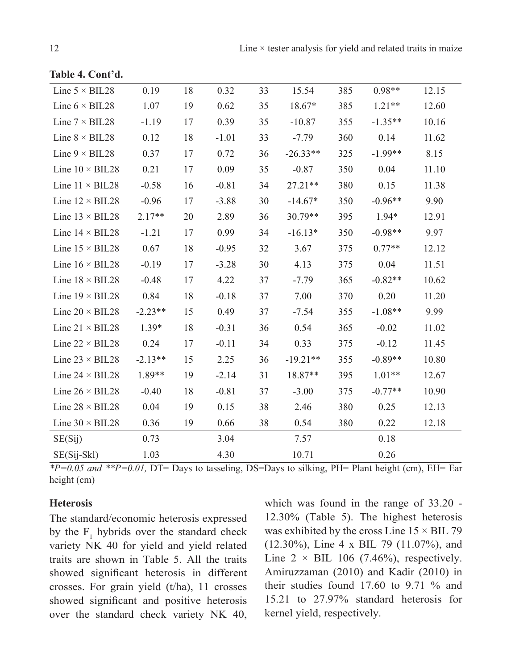| Line $5 \times BIL28$  | 0.19      | 18 | 0.32    | 33 | 15.54      | 385 | $0.98**$  | 12.15 |
|------------------------|-----------|----|---------|----|------------|-----|-----------|-------|
| Line $6 \times BIL28$  | 1.07      | 19 | 0.62    | 35 | $18.67*$   | 385 | $1.21**$  | 12.60 |
| Line $7 \times$ BIL28  | $-1.19$   | 17 | 0.39    | 35 | $-10.87$   | 355 | $-1.35**$ | 10.16 |
| Line $8 \times$ BIL28  | 0.12      | 18 | $-1.01$ | 33 | $-7.79$    | 360 | 0.14      | 11.62 |
| Line $9 \times BIL28$  | 0.37      | 17 | 0.72    | 36 | $-26.33**$ | 325 | $-1.99**$ | 8.15  |
| Line $10 \times BIL28$ | 0.21      | 17 | 0.09    | 35 | $-0.87$    | 350 | 0.04      | 11.10 |
| Line $11 \times BIL28$ | $-0.58$   | 16 | $-0.81$ | 34 | $27.21**$  | 380 | 0.15      | 11.38 |
| Line $12 \times BIL28$ | $-0.96$   | 17 | $-3.88$ | 30 | $-14.67*$  | 350 | $-0.96**$ | 9.90  |
| Line $13 \times BIL28$ | $2.17**$  | 20 | 2.89    | 36 | 30.79**    | 395 | $1.94*$   | 12.91 |
| Line $14 \times BIL28$ | $-1.21$   | 17 | 0.99    | 34 | $-16.13*$  | 350 | $-0.98**$ | 9.97  |
| Line $15 \times BIL28$ | 0.67      | 18 | $-0.95$ | 32 | 3.67       | 375 | $0.77**$  | 12.12 |
| Line $16 \times BIL28$ | $-0.19$   | 17 | $-3.28$ | 30 | 4.13       | 375 | 0.04      | 11.51 |
| Line $18 \times BIL28$ | $-0.48$   | 17 | 4.22    | 37 | $-7.79$    | 365 | $-0.82**$ | 10.62 |
| Line $19 \times BIL28$ | 0.84      | 18 | $-0.18$ | 37 | 7.00       | 370 | 0.20      | 11.20 |
| Line $20 \times BIL28$ | $-2.23**$ | 15 | 0.49    | 37 | $-7.54$    | 355 | $-1.08**$ | 9.99  |
| Line $21 \times BIL28$ | $1.39*$   | 18 | $-0.31$ | 36 | 0.54       | 365 | $-0.02$   | 11.02 |
| Line $22 \times BIL28$ | 0.24      | 17 | $-0.11$ | 34 | 0.33       | 375 | $-0.12$   | 11.45 |
| Line $23 \times BIL28$ | $-2.13**$ | 15 | 2.25    | 36 | $-19.21**$ | 355 | $-0.89**$ | 10.80 |
| Line $24 \times BIL28$ | 1.89**    | 19 | $-2.14$ | 31 | $18.87**$  | 395 | $1.01**$  | 12.67 |
| Line $26 \times BIL28$ | $-0.40$   | 18 | $-0.81$ | 37 | $-3.00$    | 375 | $-0.77**$ | 10.90 |
| Line $28 \times BIL28$ | 0.04      | 19 | 0.15    | 38 | 2.46       | 380 | 0.25      | 12.13 |
| Line $30 \times BIL28$ | 0.36      | 19 | 0.66    | 38 | 0.54       | 380 | 0.22      | 12.18 |
| SE(Sij)                | 0.73      |    | 3.04    |    | 7.57       |     | 0.18      |       |
| SE(Sij-Skl)            | 1.03      |    | 4.30    |    | 10.71      |     | 0.26      |       |

**Table 4. Cont'd.**

*\*P=0.05 and \*\*P=0.01,* DT= Days to tasseling, DS=Days to silking, PH= Plant height (cm), EH= Ear height (cm)

## **Heterosis**

The standard/economic heterosis expressed by the  $F_1$  hybrids over the standard check variety NK 40 for yield and yield related traits are shown in Table 5. All the traits showed significant heterosis in different crosses. For grain yield (t/ha), 11 crosses showed significant and positive heterosis over the standard check variety NK 40,

which was found in the range of 33.20 - 12.30% (Table 5). The highest heterosis was exhibited by the cross Line  $15 \times$  BIL 79 (12.30%), Line 4 x BIL 79 (11.07%), and Line  $2 \times$  BIL 106 (7.46%), respectively. Amiruzzaman (2010) and Kadir (2010) in their studies found 17.60 to 9.71 % and 15.21 to 27.97% standard heterosis for kernel yield, respectively.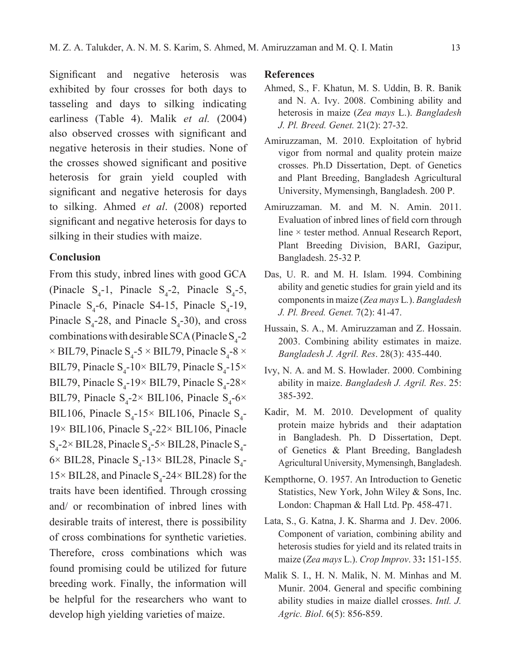Significant and negative heterosis was exhibited by four crosses for both days to tasseling and days to silking indicating earliness (Table 4). Malik *et al.* (2004) also observed crosses with significant and negative heterosis in their studies. None of the crosses showed significant and positive heterosis for grain yield coupled with significant and negative heterosis for days to silking. Ahmed *et al*. (2008) reported significant and negative heterosis for days to silking in their studies with maize.

### **Conclusion**

From this study, inbred lines with good GCA (Pinacle  $S_4$ -1, Pinacle  $S_4$ -2, Pinacle  $S_4$ -5, Pinacle  $S_4$ -6, Pinacle S4-15, Pinacle  $S_4$ -19, Pinacle  $S_4$ -28, and Pinacle  $S_4$ -30), and cross combinations with desirable SCA (Pinacle  $S_4$ -2  $\times$  BIL79, Pinacle S<sub>4</sub>-5  $\times$  BIL79, Pinacle S<sub>4</sub>-8  $\times$ BIL79, Pinacle  $S_4$ -10× BIL79, Pinacle  $S_4$ -15× BIL79, Pinacle  $S_4$ -19× BIL79, Pinacle  $S_4$ -28× BIL79, Pinacle  $S_4$ -2× BIL106, Pinacle  $S_4$ -6× BIL106, Pinacle  $S_4$ -15× BIL106, Pinacle  $S_4$ - $19 \times$  BIL106, Pinacle  $S_4$ -22× BIL106, Pinacle  $S_4$ -2× BIL28, Pinacle  $S_4$ -5× BIL28, Pinacle  $S_4$ - $6 \times$  BIL28, Pinacle S<sub>4</sub>-13× BIL28, Pinacle S<sub>4</sub>- $15 \times$  BIL28, and Pinacle S<sub>4</sub>-24  $\times$  BIL28) for the traits have been identified. Through crossing and/ or recombination of inbred lines with desirable traits of interest, there is possibility of cross combinations for synthetic varieties. Therefore, cross combinations which was found promising could be utilized for future breeding work. Finally, the information will be helpful for the researchers who want to develop high yielding varieties of maize.

### **References**

- Ahmed, S., F. Khatun, M. S. Uddin, B. R. Banik and N. A. Ivy. 2008. Combining ability and heterosis in maize (*Zea mays* L.). *Bangladesh J. Pl. Breed. Genet.* 21(2): 27-32.
- Amiruzzaman, M. 2010. Exploitation of hybrid vigor from normal and quality protein maize crosses. Ph.D Dissertation, Dept. of Genetics and Plant Breeding, Bangladesh Agricultural University, Mymensingh, Bangladesh. 200 p.
- Amiruzzaman. M. and M. N. Amin. 2011. Evaluation of inbred lines of field corn through line × tester method. Annual Research Report, Plant Breeding Division, BARI, Gazipur, Bangladesh. 25-32 P.
- Das, U. R. and M. H. Islam. 1994. Combining ability and genetic studies for grain yield and its components in maize (*Zea mays* L*.*). *Bangladesh J. Pl. Breed. Genet.* 7(2): 41-47.
- Hussain, S. A., M. Amiruzzaman and Z. Hossain. 2003. Combining ability estimates in maize. *Bangladesh J. Agril. Res*. 28(3): 435-440.
- Ivy, N. A. and M. S. Howlader. 2000. Combining ability in maize. *Bangladesh J. Agril. Res*. 25: 385-392.
- Kadir, M. M. 2010. Development of quality protein maize hybrids and their adaptation in Bangladesh. Ph. D Dissertation, Dept. of Genetics & Plant Breeding, Bangladesh Agricultural University, Mymensingh, Bangladesh.
- Kempthorne, O. 1957. An Introduction to Genetic Statistics, New York, John Wiley & Sons, Inc. London: Chapman & Hall Ltd. Pp. 458-471.
- Lata, S., G. Katna, J. K. Sharma and J. Dev. 2006. Component of variation, combining ability and heterosis studies for yield and its related traits in maize (*Zea mays* L.). *Crop Improv*. 33**:** 151-155.
- Malik S. I., H. N. Malik, N. M. Minhas and M. Munir. 2004. General and specific combining ability studies in maize diallel crosses. *Intl. J. Agric. Biol*. 6(5): 856-859.